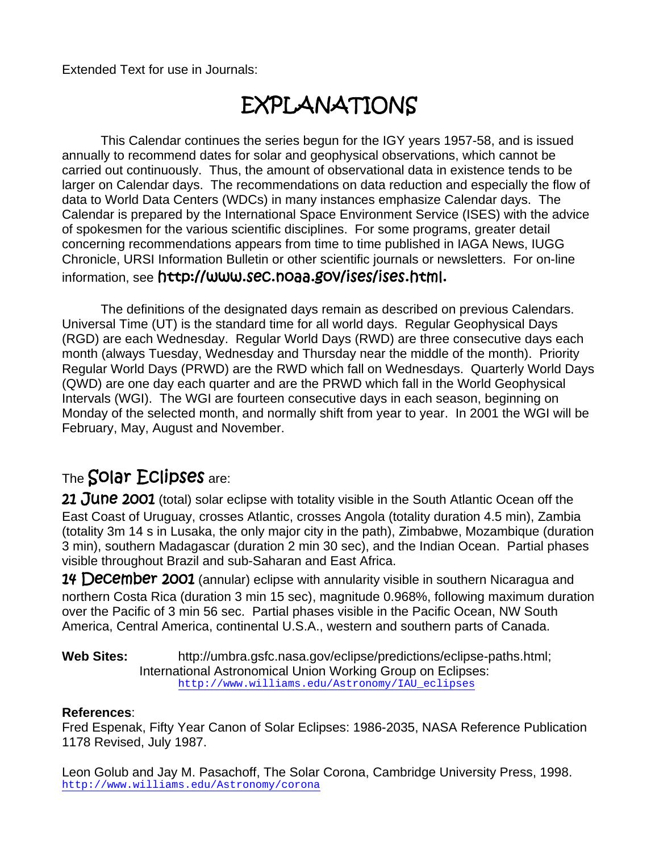Extended Text for use in Journals:

# EXPLANATIONS

This Calendar continues the series begun for the IGY years 1957-58, and is issued annually to recommend dates for solar and geophysical observations, which cannot be carried out continuously. Thus, the amount of observational data in existence tends to be larger on Calendar days. The recommendations on data reduction and especially the flow of data to World Data Centers (WDCs) in many instances emphasize Calendar days. The Calendar is prepared by the International Space Environment Service (ISES) with the advice of spokesmen for the various scientific disciplines. For some programs, greater detail concerning recommendations appears from time to time published in IAGA News, IUGG Chronicle, URSI Information Bulletin or other scientific journals or newsletters. For on-line information, see http://www.sec.noaa.gov/ises/ises.html.

The definitions of the designated days remain as described on previous Calendars. Universal Time (UT) is the standard time for all world days. Regular Geophysical Days (RGD) are each Wednesday. Regular World Days (RWD) are three consecutive days each month (always Tuesday, Wednesday and Thursday near the middle of the month). Priority Regular World Days (PRWD) are the RWD which fall on Wednesdays. Quarterly World Days (QWD) are one day each quarter and are the PRWD which fall in the World Geophysical Intervals (WGI). The WGI are fourteen consecutive days in each season, beginning on Monday of the selected month, and normally shift from year to year. In 2001 the WGI will be February, May, August and November.

#### The Solar Eclipses are:

21 June 2001 (total) solar eclipse with totality visible in the South Atlantic Ocean off the East Coast of Uruguay, crosses Atlantic, crosses Angola (totality duration 4.5 min), Zambia (totality 3m 14 s in Lusaka, the only major city in the path), Zimbabwe, Mozambique (duration 3 min), southern Madagascar (duration 2 min 30 sec), and the Indian Ocean. Partial phases visible throughout Brazil and sub-Saharan and East Africa.

**14 December 2001** (annular) eclipse with annularity visible in southern Nicaragua and northern Costa Rica (duration 3 min 15 sec), magnitude 0.968%, following maximum duration over the Pacific of 3 min 56 sec. Partial phases visible in the Pacific Ocean, NW South America, Central America, continental U.S.A., western and southern parts of Canada.

**Web Sites:** http://umbra.gsfc.nasa.gov/eclipse/predictions/eclipse-paths.html; International Astronomical Union Working Group on Eclipses: http://www.williams.edu/Astronomy/IAU\_eclipses

#### **References**:

Fred Espenak, Fifty Year Canon of Solar Eclipses: 1986-2035, NASA Reference Publication 1178 Revised, July 1987.

Leon Golub and Jay M. Pasachoff, The Solar Corona, Cambridge University Press, 1998. http://www.williams.edu/Astronomy/corona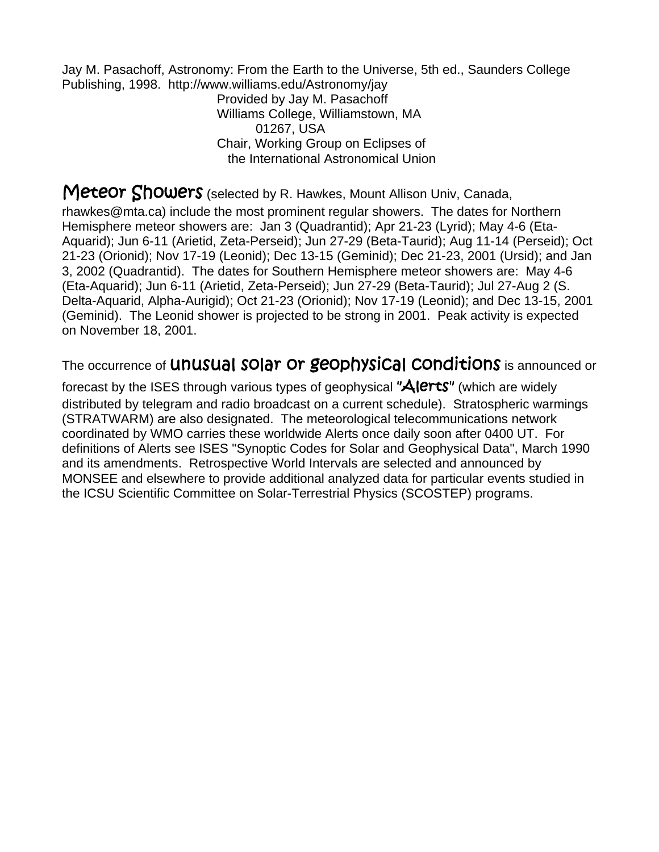Jay M. Pasachoff, Astronomy: From the Earth to the Universe, 5th ed., Saunders College Publishing, 1998. http://www.williams.edu/Astronomy/jay

> Provided by Jay M. Pasachoff Williams College, Williamstown, MA 01267, USA Chair, Working Group on Eclipses of the International Astronomical Union

Meteor Showers (selected by R. Hawkes, Mount Allison Univ, Canada,

rhawkes@mta.ca) include the most prominent regular showers. The dates for Northern Hemisphere meteor showers are: Jan 3 (Quadrantid); Apr 21-23 (Lyrid); May 4-6 (Eta-Aquarid); Jun 6-11 (Arietid, Zeta-Perseid); Jun 27-29 (Beta-Taurid); Aug 11-14 (Perseid); Oct 21-23 (Orionid); Nov 17-19 (Leonid); Dec 13-15 (Geminid); Dec 21-23, 2001 (Ursid); and Jan 3, 2002 (Quadrantid). The dates for Southern Hemisphere meteor showers are: May 4-6 (Eta-Aquarid); Jun 6-11 (Arietid, Zeta-Perseid); Jun 27-29 (Beta-Taurid); Jul 27-Aug 2 (S. Delta-Aquarid, Alpha-Aurigid); Oct 21-23 (Orionid); Nov 17-19 (Leonid); and Dec 13-15, 2001 (Geminid). The Leonid shower is projected to be strong in 2001. Peak activity is expected on November 18, 2001.

The occurrence of **UNUSUAI SOIAT OT GEOPHYSICAI CONDITIONS** is announced or

forecast by the ISES through various types of geophysical "Alerts" (which are widely distributed by telegram and radio broadcast on a current schedule). Stratospheric warmings (STRATWARM) are also designated. The meteorological telecommunications network coordinated by WMO carries these worldwide Alerts once daily soon after 0400 UT. For definitions of Alerts see ISES "Synoptic Codes for Solar and Geophysical Data", March 1990 and its amendments. Retrospective World Intervals are selected and announced by MONSEE and elsewhere to provide additional analyzed data for particular events studied in the ICSU Scientific Committee on Solar-Terrestrial Physics (SCOSTEP) programs.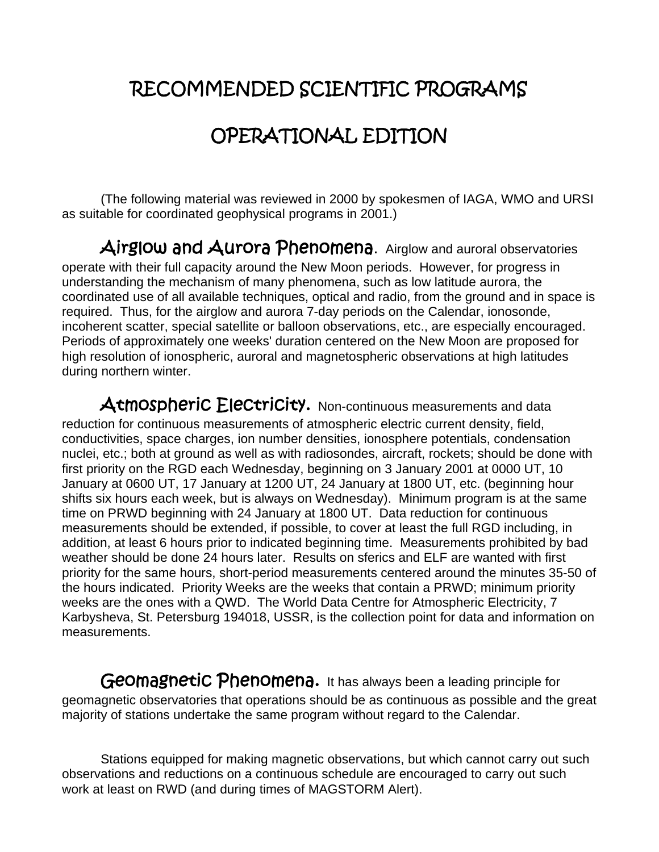## RECOMMENDED SCIENTIFIC PROGRAMS

# OPERATIONAL EDITION

(The following material was reviewed in 2000 by spokesmen of IAGA, WMO and URSI as suitable for coordinated geophysical programs in 2001.)

Airglow and Aurora Phenomena. Airglow and auroral observatories operate with their full capacity around the New Moon periods. However, for progress in understanding the mechanism of many phenomena, such as low latitude aurora, the coordinated use of all available techniques, optical and radio, from the ground and in space is required. Thus, for the airglow and aurora 7-day periods on the Calendar, ionosonde, incoherent scatter, special satellite or balloon observations, etc., are especially encouraged. Periods of approximately one weeks' duration centered on the New Moon are proposed for high resolution of ionospheric, auroral and magnetospheric observations at high latitudes during northern winter.

Atmospheric Electricity. Non-continuous measurements and data reduction for continuous measurements of atmospheric electric current density, field, conductivities, space charges, ion number densities, ionosphere potentials, condensation nuclei, etc.; both at ground as well as with radiosondes, aircraft, rockets; should be done with first priority on the RGD each Wednesday, beginning on 3 January 2001 at 0000 UT, 10 January at 0600 UT, 17 January at 1200 UT, 24 January at 1800 UT, etc. (beginning hour shifts six hours each week, but is always on Wednesday). Minimum program is at the same time on PRWD beginning with 24 January at 1800 UT. Data reduction for continuous measurements should be extended, if possible, to cover at least the full RGD including, in addition, at least 6 hours prior to indicated beginning time. Measurements prohibited by bad weather should be done 24 hours later. Results on sferics and ELF are wanted with first priority for the same hours, short-period measurements centered around the minutes 35-50 of the hours indicated. Priority Weeks are the weeks that contain a PRWD; minimum priority weeks are the ones with a QWD. The World Data Centre for Atmospheric Electricity, 7 Karbysheva, St. Petersburg 194018, USSR, is the collection point for data and information on measurements.

Geomagnetic Phenomena. It has always been a leading principle for geomagnetic observatories that operations should be as continuous as possible and the great majority of stations undertake the same program without regard to the Calendar.

Stations equipped for making magnetic observations, but which cannot carry out such observations and reductions on a continuous schedule are encouraged to carry out such work at least on RWD (and during times of MAGSTORM Alert).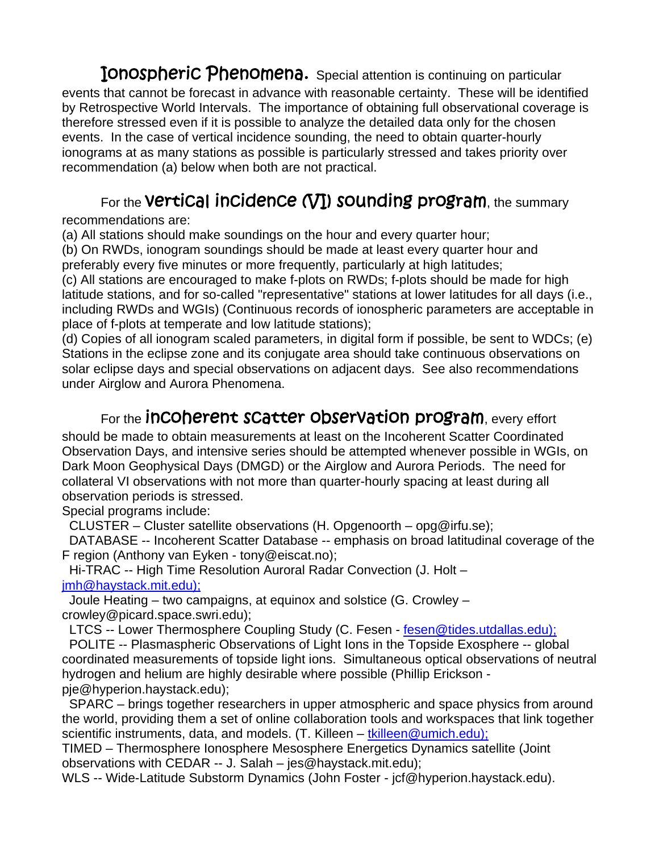**IONOSPheric Phenomena.** Special attention is continuing on particular events that cannot be forecast in advance with reasonable certainty. These will be identified by Retrospective World Intervals. The importance of obtaining full observational coverage is therefore stressed even if it is possible to analyze the detailed data only for the chosen events. In the case of vertical incidence sounding, the need to obtain quarter-hourly ionograms at as many stations as possible is particularly stressed and takes priority over recommendation (a) below when both are not practical.

### For the Vertical incidence (VI) sounding program, the summary

recommendations are:

(a) All stations should make soundings on the hour and every quarter hour;

(b) On RWDs, ionogram soundings should be made at least every quarter hour and preferably every five minutes or more frequently, particularly at high latitudes;

(c) All stations are encouraged to make f-plots on RWDs; f-plots should be made for high latitude stations, and for so-called "representative" stations at lower latitudes for all days (i.e., including RWDs and WGIs) (Continuous records of ionospheric parameters are acceptable in place of f-plots at temperate and low latitude stations);

(d) Copies of all ionogram scaled parameters, in digital form if possible, be sent to WDCs; (e) Stations in the eclipse zone and its conjugate area should take continuous observations on solar eclipse days and special observations on adjacent days. See also recommendations under Airglow and Aurora Phenomena.

#### For the **inCOherent sCatter obserVatiOn program**, every effort

should be made to obtain measurements at least on the Incoherent Scatter Coordinated Observation Days, and intensive series should be attempted whenever possible in WGIs, on Dark Moon Geophysical Days (DMGD) or the Airglow and Aurora Periods. The need for collateral VI observations with not more than quarter-hourly spacing at least during all observation periods is stressed.

Special programs include:

CLUSTER – Cluster satellite observations (H. Opgenoorth – opg@irfu.se);

 DATABASE -- Incoherent Scatter Database -- emphasis on broad latitudinal coverage of the F region (Anthony van Eyken - tony@eiscat.no);

 Hi-TRAC -- High Time Resolution Auroral Radar Convection (J. Holt – jmh@haystack.mit.edu);

 Joule Heating – two campaigns, at equinox and solstice (G. Crowley – crowley@picard.space.swri.edu);

LTCS -- Lower Thermosphere Coupling Study (C. Fesen - fesen@tides.utdallas.edu);

 POLITE -- Plasmaspheric Observations of Light Ions in the Topside Exosphere -- global coordinated measurements of topside light ions. Simultaneous optical observations of neutral hydrogen and helium are highly desirable where possible (Phillip Erickson pje@hyperion.haystack.edu);

 SPARC – brings together researchers in upper atmospheric and space physics from around the world, providing them a set of online collaboration tools and workspaces that link together scientific instruments, data, and models. (T. Killeen – tkilleen@umich.edu);

TIMED – Thermosphere Ionosphere Mesosphere Energetics Dynamics satellite (Joint observations with CEDAR -- J. Salah – jes@haystack.mit.edu);

WLS -- Wide-Latitude Substorm Dynamics (John Foster - jcf@hyperion.haystack.edu).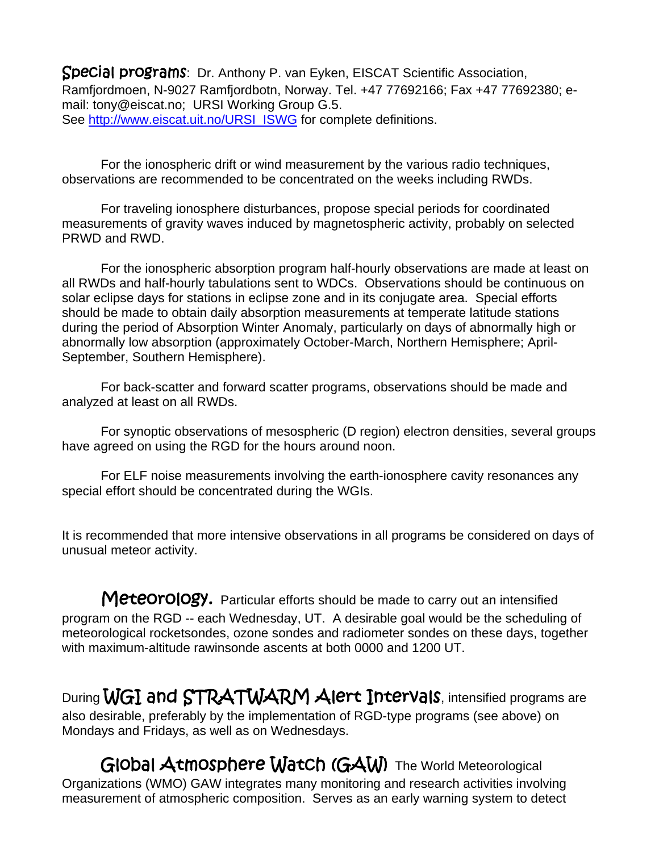Special programs: Dr. Anthony P. van Eyken, EISCAT Scientific Association, Ramfjordmoen, N-9027 Ramfjordbotn, Norway. Tel. +47 77692166; Fax +47 77692380; email: tony@eiscat.no; URSI Working Group G.5. See http://www.eiscat.uit.no/URSI\_ISWG for complete definitions.

For the ionospheric drift or wind measurement by the various radio techniques, observations are recommended to be concentrated on the weeks including RWDs.

For traveling ionosphere disturbances, propose special periods for coordinated measurements of gravity waves induced by magnetospheric activity, probably on selected PRWD and RWD.

For the ionospheric absorption program half-hourly observations are made at least on all RWDs and half-hourly tabulations sent to WDCs. Observations should be continuous on solar eclipse days for stations in eclipse zone and in its conjugate area. Special efforts should be made to obtain daily absorption measurements at temperate latitude stations during the period of Absorption Winter Anomaly, particularly on days of abnormally high or abnormally low absorption (approximately October-March, Northern Hemisphere; April-September, Southern Hemisphere).

For back-scatter and forward scatter programs, observations should be made and analyzed at least on all RWDs.

For synoptic observations of mesospheric (D region) electron densities, several groups have agreed on using the RGD for the hours around noon.

For ELF noise measurements involving the earth-ionosphere cavity resonances any special effort should be concentrated during the WGIs.

It is recommended that more intensive observations in all programs be considered on days of unusual meteor activity.

Meteorology. Particular efforts should be made to carry out an intensified program on the RGD -- each Wednesday, UT. A desirable goal would be the scheduling of meteorological rocketsondes, ozone sondes and radiometer sondes on these days, together with maximum-altitude rawinsonde ascents at both 0000 and 1200 UT.

During WGI and STRATWARM Alert Intervals, intensified programs are also desirable, preferably by the implementation of RGD-type programs (see above) on Mondays and Fridays, as well as on Wednesdays.

Global Atmosphere Watch (GAW) The World Meteorological Organizations (WMO) GAW integrates many monitoring and research activities involving measurement of atmospheric composition. Serves as an early warning system to detect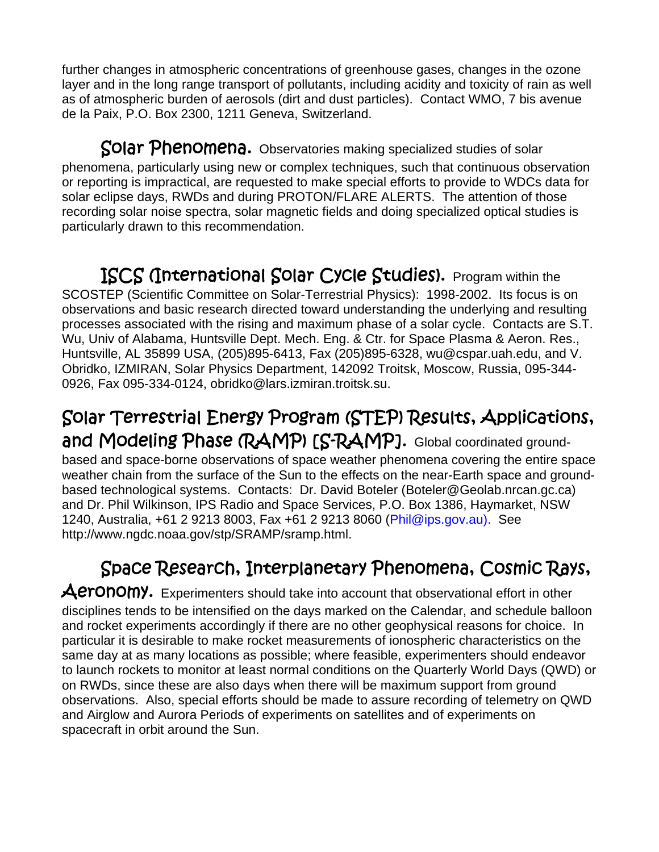further changes in atmospheric concentrations of greenhouse gases, changes in the ozone layer and in the long range transport of pollutants, including acidity and toxicity of rain as well as of atmospheric burden of aerosols (dirt and dust particles). Contact WMO, 7 bis avenue de la Paix, P.O. Box 2300, 1211 Geneva, Switzerland.

Solar Phenomena. Observatories making specialized studies of solar phenomena, particularly using new or complex techniques, such that continuous observation or reporting is impractical, are requested to make special efforts to provide to WDCs data for solar eclipse days, RWDs and during PROTON/FLARE ALERTS. The attention of those recording solar noise spectra, solar magnetic fields and doing specialized optical studies is particularly drawn to this recommendation.

ISCS (International Solar Cycle Studies). Program within the SCOSTEP (Scientific Committee on Solar-Terrestrial Physics): 1998-2002. Its focus is on observations and basic research directed toward understanding the underlying and resulting processes associated with the rising and maximum phase of a solar cycle. Contacts are S.T. Wu, Univ of Alabama, Huntsville Dept. Mech. Eng. & Ctr. for Space Plasma & Aeron. Res., Huntsville, AL 35899 USA, (205)895-6413, Fax (205)895-6328, wu@cspar.uah.edu, and V. Obridko, IZMIRAN, Solar Physics Department, 142092 Troitsk, Moscow, Russia, 095-344- 0926, Fax 095-334-0124, obridko@lars.izmiran.troitsk.su.

#### Solar Terrestrial Energy Program (STEP) Results, Applications, and Modeling Phase (RAMP) [S-RAMP]. Global coordinated groundbased and space-borne observations of space weather phenomena covering the entire space weather chain from the surface of the Sun to the effects on the near-Earth space and groundbased technological systems. Contacts: Dr. David Boteler (Boteler@Geolab.nrcan.gc.ca) and Dr. Phil Wilkinson, IPS Radio and Space Services, P.O. Box 1386, Haymarket, NSW 1240, Australia, +61 2 9213 8003, Fax +61 2 9213 8060 (Phil@ips.gov.au). See http://www.ngdc.noaa.gov/stp/SRAMP/sramp.html.

### Space Research, Interplanetary Phenomena, Cosmic Rays,

Aeronomy. Experimenters should take into account that observational effort in other disciplines tends to be intensified on the days marked on the Calendar, and schedule balloon and rocket experiments accordingly if there are no other geophysical reasons for choice. In particular it is desirable to make rocket measurements of ionospheric characteristics on the same day at as many locations as possible; where feasible, experimenters should endeavor to launch rockets to monitor at least normal conditions on the Quarterly World Days (QWD) or on RWDs, since these are also days when there will be maximum support from ground observations. Also, special efforts should be made to assure recording of telemetry on QWD and Airglow and Aurora Periods of experiments on satellites and of experiments on spacecraft in orbit around the Sun.